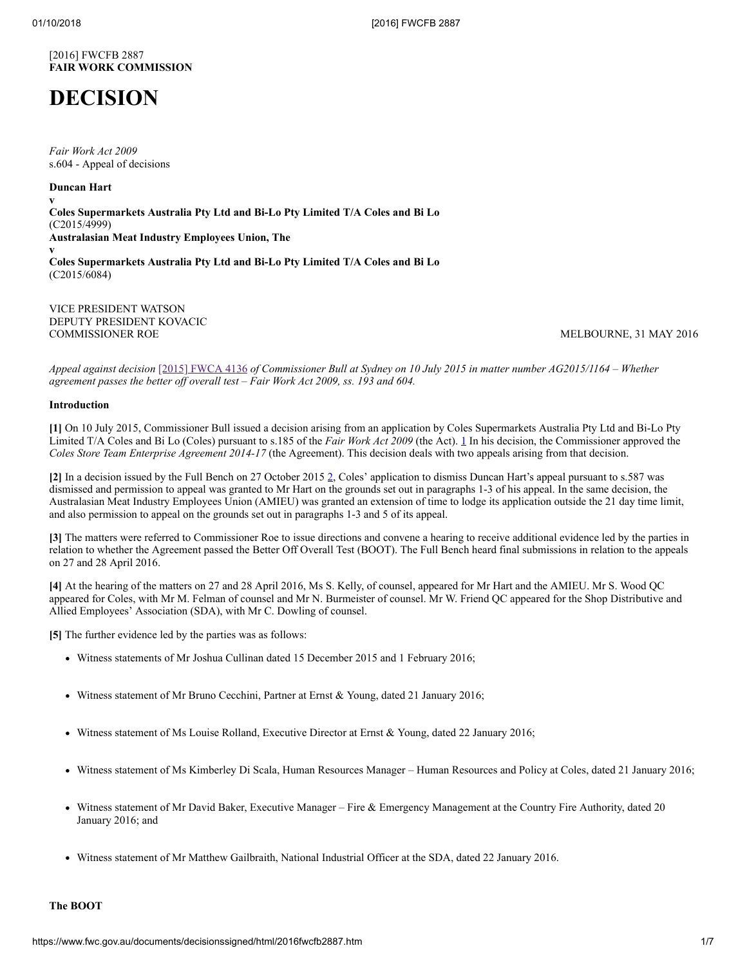# [2016] FWCFB 2887 **FAIR WORK COMMISSION**

# **DECISION**

*Fair Work Act 2009*  s.604 - Appeal of decisions

# **Duncan Hart**

**v Coles Supermarkets Australia Pty Ltd and Bi-Lo Pty Limited T/A Coles and Bi Lo** (C2015/4999) **Australasian Meat Industry Employees Union, The v Coles Supermarkets Australia Pty Ltd and Bi-Lo Pty Limited T/A Coles and Bi Lo** (C2015/6084)

VICE PRESIDENT WATSON DEPUTY PRESIDENT KOVACIC<br>COMMISSIONER ROE

<span id="page-0-1"></span><span id="page-0-0"></span>MELBOURNE, 31 MAY 2016

*Appeal against decision* [\[2015\] FWCA 4136](http://www.fwc.gov.au/decisionssigned/html/2015fwca4136.htm) *of Commissioner Bull at Sydney on 10 July 2015 in matter number AG2015/1164 – Whether agreement passes the better off overall test – Fair Work Act 2009, ss. 193 and 604.*

# **Introduction**

**[1]** On 10 July 2015, Commissioner Bull issued a decision arising from an application by Coles Supermarkets Australia Pty Ltd and Bi-Lo Pty Limited T/A Coles and Bi Lo (Coles) pursuant to s.185 of the *Fair Work Act 2009* (the Act). [1](#page-6-0) In his decision, the Commissioner approved the *Coles Store Team Enterprise Agreement 2014-17* (the Agreement). This decision deals with two appeals arising from that decision.

**[2]** In a decision issued by the Full Bench on 27 October 2015 [2](#page-6-1), Coles' application to dismiss Duncan Hart's appeal pursuant to s.587 was dismissed and permission to appeal was granted to Mr Hart on the grounds set out in paragraphs 1-3 of his appeal. In the same decision, the Australasian Meat Industry Employees Union (AMIEU) was granted an extension of time to lodge its application outside the 21 day time limit, and also permission to appeal on the grounds set out in paragraphs 1-3 and 5 of its appeal.

**[3]** The matters were referred to Commissioner Roe to issue directions and convene a hearing to receive additional evidence led by the parties in relation to whether the Agreement passed the Better Off Overall Test (BOOT). The Full Bench heard final submissions in relation to the appeals on 27 and 28 April 2016.

**[4]** At the hearing of the matters on 27 and 28 April 2016, Ms S. Kelly, of counsel, appeared for Mr Hart and the AMIEU. Mr S. Wood QC appeared for Coles, with Mr M. Felman of counsel and Mr N. Burmeister of counsel. Mr W. Friend QC appeared for the Shop Distributive and Allied Employees' Association (SDA), with Mr C. Dowling of counsel.

**[5]** The further evidence led by the parties was as follows:

- Witness statements of Mr Joshua Cullinan dated 15 December 2015 and 1 February 2016;
- Witness statement of Mr Bruno Cecchini, Partner at Ernst & Young, dated 21 January 2016;
- Witness statement of Ms Louise Rolland, Executive Director at Ernst & Young, dated 22 January 2016;
- Witness statement of Ms Kimberley Di Scala, Human Resources Manager Human Resources and Policy at Coles, dated 21 January 2016;
- Witness statement of Mr David Baker, Executive Manager Fire & Emergency Management at the Country Fire Authority, dated 20 January 2016; and
- Witness statement of Mr Matthew Gailbraith, National Industrial Officer at the SDA, dated 22 January 2016.

# **The BOOT**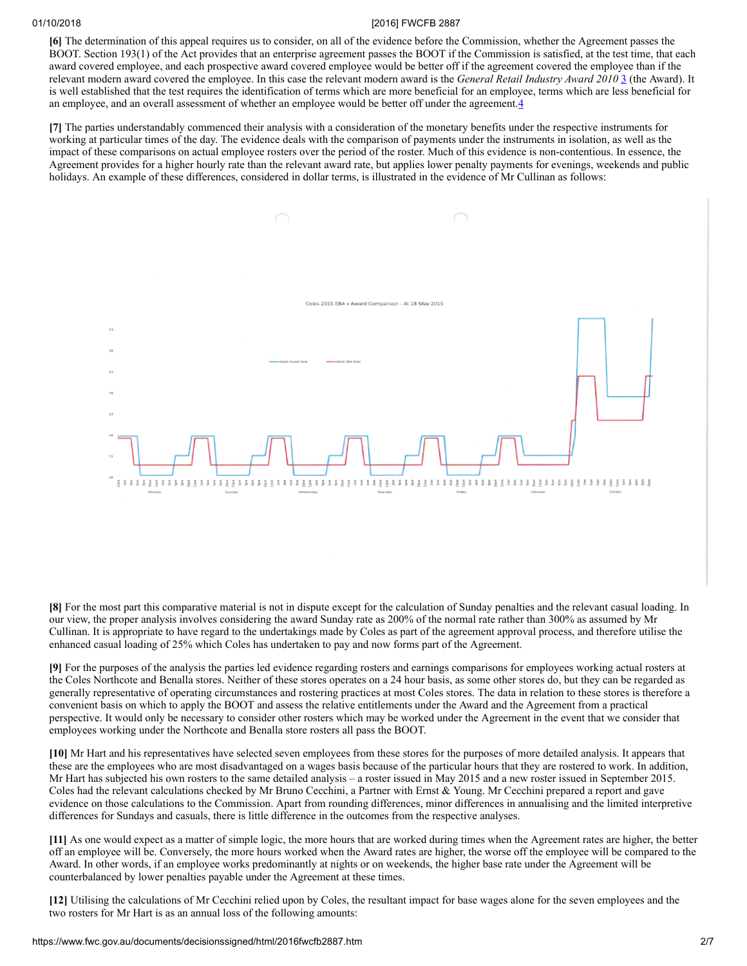**[6]** The determination of this appeal requires us to consider, on all of the evidence before the Commission, whether the Agreement passes the BOOT. Section 193(1) of the Act provides that an enterprise agreement passes the BOOT if the Commission is satisfied, at the test time, that each award covered employee, and each prospective award covered employee would be better off if the agreement covered the employee than if the relevant modern award covered the employee. In this case the relevant modern award is the *General Retail Industry Award 2010* [3](#page-6-2) (the Award). It is well established that the test requires the identification of terms which are more beneficial for an employee, terms which are less beneficial for an employee, and an overall assessment of whether an employee would be better off under the agreement.[4](#page-6-3)

**[7]** The parties understandably commenced their analysis with a consideration of the monetary benefits under the respective instruments for working at particular times of the day. The evidence deals with the comparison of payments under the instruments in isolation, as well as the impact of these comparisons on actual employee rosters over the period of the roster. Much of this evidence is non-contentious. In essence, the Agreement provides for a higher hourly rate than the relevant award rate, but applies lower penalty payments for evenings, weekends and public holidays. An example of these differences, considered in dollar terms, is illustrated in the evidence of Mr Cullinan as follows:

<span id="page-1-1"></span><span id="page-1-0"></span>

**[8]** For the most part this comparative material is not in dispute except for the calculation of Sunday penalties and the relevant casual loading. In our view, the proper analysis involves considering the award Sunday rate as 200% of the normal rate rather than 300% as assumed by Mr Cullinan. It is appropriate to have regard to the undertakings made by Coles as part of the agreement approval process, and therefore utilise the enhanced casual loading of 25% which Coles has undertaken to pay and now forms part of the Agreement.

**[9]** For the purposes of the analysis the parties led evidence regarding rosters and earnings comparisons for employees working actual rosters at the Coles Northcote and Benalla stores. Neither of these stores operates on a 24 hour basis, as some other stores do, but they can be regarded as generally representative of operating circumstances and rostering practices at most Coles stores. The data in relation to these stores is therefore a convenient basis on which to apply the BOOT and assess the relative entitlements under the Award and the Agreement from a practical perspective. It would only be necessary to consider other rosters which may be worked under the Agreement in the event that we consider that employees working under the Northcote and Benalla store rosters all pass the BOOT.

**[10]** Mr Hart and his representatives have selected seven employees from these stores for the purposes of more detailed analysis. It appears that these are the employees who are most disadvantaged on a wages basis because of the particular hours that they are rostered to work. In addition, Mr Hart has subjected his own rosters to the same detailed analysis – a roster issued in May 2015 and a new roster issued in September 2015. Coles had the relevant calculations checked by Mr Bruno Cecchini, a Partner with Ernst & Young. Mr Cecchini prepared a report and gave evidence on those calculations to the Commission. Apart from rounding differences, minor differences in annualising and the limited interpretive differences for Sundays and casuals, there is little difference in the outcomes from the respective analyses.

**[11]** As one would expect as a matter of simple logic, the more hours that are worked during times when the Agreement rates are higher, the better off an employee will be. Conversely, the more hours worked when the Award rates are higher, the worse off the employee will be compared to the Award. In other words, if an employee works predominantly at nights or on weekends, the higher base rate under the Agreement will be counterbalanced by lower penalties payable under the Agreement at these times.

**[12]** Utilising the calculations of Mr Cecchini relied upon by Coles, the resultant impact for base wages alone for the seven employees and the two rosters for Mr Hart is as an annual loss of the following amounts: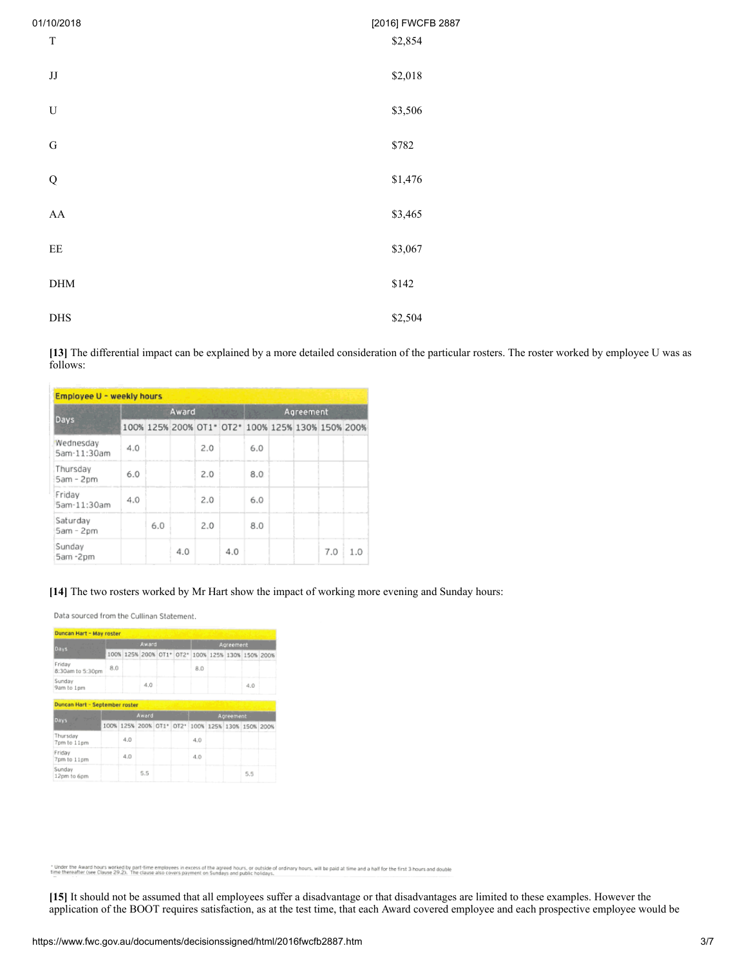| 01/10/2018                  | [2016] FWCFB 2887 |
|-----------------------------|-------------------|
| $\mathbf T$                 | \$2,854           |
| $\rm JJ$                    | \$2,018           |
| ${\bf U}$                   | \$3,506           |
| ${\bf G}$                   | \$782             |
| ${\bf Q}$                   | \$1,476           |
| ${\bf AA}$                  | \$3,465           |
| $\rm{EE}$                   | \$3,067           |
| $\mathop{\rm DHM}\nolimits$ | \$142             |
| $DHS$                       | \$2,504           |

**[13]** The differential impact can be explained by a more detailed consideration of the particular rosters. The roster worked by employee U was as follows:

| Employee U - weekly hours |     |       |     |     |     |                                                   |           |  |     |     |  |  |
|---------------------------|-----|-------|-----|-----|-----|---------------------------------------------------|-----------|--|-----|-----|--|--|
| Days                      |     | Award |     |     |     |                                                   | Agreement |  |     |     |  |  |
|                           |     |       |     |     |     | 100% 125% 200% OT1* OT2* 100% 125% 130% 150% 200% |           |  |     |     |  |  |
| Wednesday<br>5am-11:30am  | 4.0 |       |     | 2.0 |     | 6.0                                               |           |  |     |     |  |  |
| Thursday<br>5am - 2pm     | 6.0 |       |     | 2.0 |     | 8.0                                               |           |  |     |     |  |  |
| Friday<br>5am-11:30am     | 4.0 |       |     | 2.0 |     | 6.0                                               |           |  |     |     |  |  |
| Saturday<br>5am - 2pm     |     | 6.0   |     | 2.0 |     | 8.0                                               |           |  |     |     |  |  |
| Sunday<br>5am -2pm        |     |       | 4.0 |     | 4.0 |                                                   |           |  | 7.0 | 1.0 |  |  |

# **[14]** The two rosters worked by Mr Hart show the impact of working more evening and Sunday hours:

Data sourced from the Cullinan Statement.

| Duncan Hart - May roster       |     |     |       |  |           |                                                   |  |  |     |  |
|--------------------------------|-----|-----|-------|--|-----------|---------------------------------------------------|--|--|-----|--|
| Days                           |     |     | Award |  | Agreement |                                                   |  |  |     |  |
|                                |     |     |       |  |           | 100% 125% 200% OT1* 0T2* 100% 125% 130% 150% 200% |  |  |     |  |
| Friday<br>8:30am to 5:30pm     | 8.0 |     |       |  |           | 8.0                                               |  |  |     |  |
| Sunday<br>9am to 1pm           |     |     | 4.0   |  |           |                                                   |  |  | 4.0 |  |
| Duncan Hart - September roster |     |     |       |  |           |                                                   |  |  |     |  |
| Days                           |     |     | Award |  | Agreement |                                                   |  |  |     |  |
|                                |     |     |       |  |           | 100% 125% 200% 0T1* 0T2* 100% 125% 130% 150% 200% |  |  |     |  |
| Thursday<br>7pm to 11pm        |     | 4.0 |       |  |           | 4.0                                               |  |  |     |  |
| Friday<br>7pm to 11pm          |     | 4.0 |       |  |           | 4.0                                               |  |  |     |  |
| Sundav<br>12pm to 6pm          |     |     | 5.5   |  |           |                                                   |  |  | 5.5 |  |

" Under the Award hours worked by part-fime employees in excess of the agreed hours, or outside of ordinary hours, will be paid at time and a half for the first 3 hours and double<br>time thereafter (see Clause 29.2). The cla

**[15]** It should not be assumed that all employees suffer a disadvantage or that disadvantages are limited to these examples. However the application of the BOOT requires satisfaction, as at the test time, that each Award covered employee and each prospective employee would be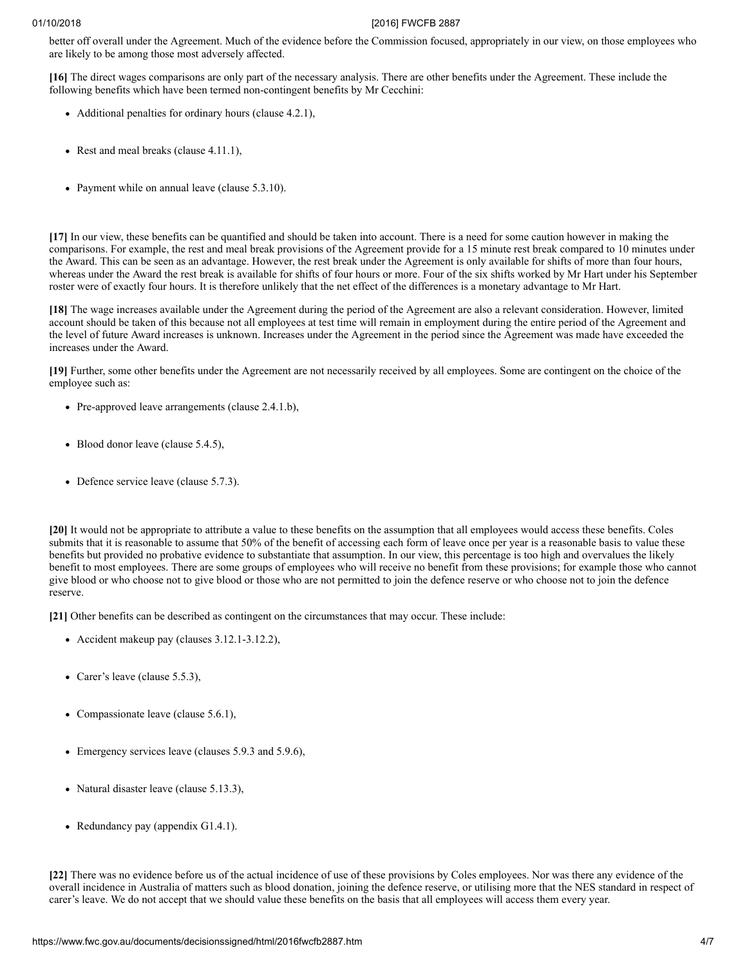better off overall under the Agreement. Much of the evidence before the Commission focused, appropriately in our view, on those employees who are likely to be among those most adversely affected.

**[16]** The direct wages comparisons are only part of the necessary analysis. There are other benefits under the Agreement. These include the following benefits which have been termed non-contingent benefits by Mr Cecchini:

- Additional penalties for ordinary hours (clause 4.2.1),
- Rest and meal breaks (clause 4.11.1),
- Payment while on annual leave (clause 5.3.10).

**[17]** In our view, these benefits can be quantified and should be taken into account. There is a need for some caution however in making the comparisons. For example, the rest and meal break provisions of the Agreement provide for a 15 minute rest break compared to 10 minutes under the Award. This can be seen as an advantage. However, the rest break under the Agreement is only available for shifts of more than four hours, whereas under the Award the rest break is available for shifts of four hours or more. Four of the six shifts worked by Mr Hart under his September roster were of exactly four hours. It is therefore unlikely that the net effect of the differences is a monetary advantage to Mr Hart.

**[18]** The wage increases available under the Agreement during the period of the Agreement are also a relevant consideration. However, limited account should be taken of this because not all employees at test time will remain in employment during the entire period of the Agreement and the level of future Award increases is unknown. Increases under the Agreement in the period since the Agreement was made have exceeded the increases under the Award.

**[19]** Further, some other benefits under the Agreement are not necessarily received by all employees. Some are contingent on the choice of the employee such as:

- Pre-approved leave arrangements (clause 2.4.1.b),
- Blood donor leave (clause 5.4.5),
- Defence service leave (clause 5.7.3).

**[20]** It would not be appropriate to attribute a value to these benefits on the assumption that all employees would access these benefits. Coles submits that it is reasonable to assume that 50% of the benefit of accessing each form of leave once per year is a reasonable basis to value these benefits but provided no probative evidence to substantiate that assumption. In our view, this percentage is too high and overvalues the likely benefit to most employees. There are some groups of employees who will receive no benefit from these provisions; for example those who cannot give blood or who choose not to give blood or those who are not permitted to join the defence reserve or who choose not to join the defence reserve.

**[21]** Other benefits can be described as contingent on the circumstances that may occur. These include:

- Accident makeup pay (clauses 3.12.1-3.12.2),
- Carer's leave (clause 5.5.3),
- Compassionate leave (clause 5.6.1),
- Emergency services leave (clauses 5.9.3 and 5.9.6),
- Natural disaster leave (clause 5.13.3),
- Redundancy pay (appendix G1.4.1).

**[22]** There was no evidence before us of the actual incidence of use of these provisions by Coles employees. Nor was there any evidence of the overall incidence in Australia of matters such as blood donation, joining the defence reserve, or utilising more that the NES standard in respect of carer's leave. We do not accept that we should value these benefits on the basis that all employees will access them every year.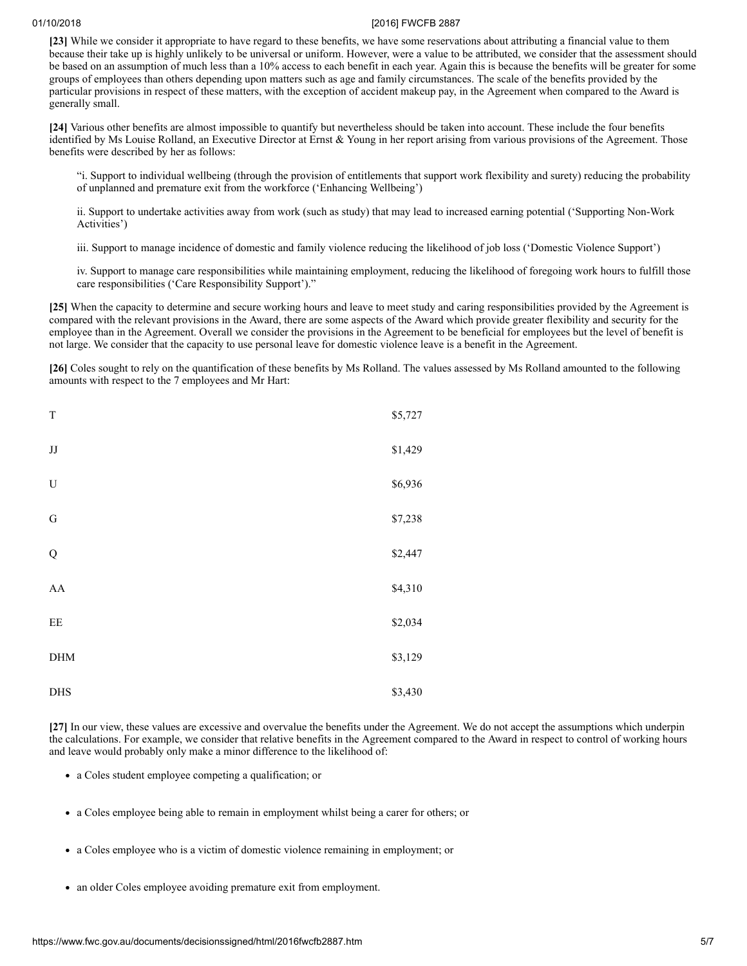**[23]** While we consider it appropriate to have regard to these benefits, we have some reservations about attributing a financial value to them because their take up is highly unlikely to be universal or uniform. However, were a value to be attributed, we consider that the assessment should be based on an assumption of much less than a 10% access to each benefit in each year. Again this is because the benefits will be greater for some groups of employees than others depending upon matters such as age and family circumstances. The scale of the benefits provided by the particular provisions in respect of these matters, with the exception of accident makeup pay, in the Agreement when compared to the Award is generally small.

**[24]** Various other benefits are almost impossible to quantify but nevertheless should be taken into account. These include the four benefits identified by Ms Louise Rolland, an Executive Director at Ernst & Young in her report arising from various provisions of the Agreement. Those benefits were described by her as follows:

"i. Support to individual wellbeing (through the provision of entitlements that support work flexibility and surety) reducing the probability of unplanned and premature exit from the workforce ('Enhancing Wellbeing')

ii. Support to undertake activities away from work (such as study) that may lead to increased earning potential ('Supporting Non-Work Activities')

iii. Support to manage incidence of domestic and family violence reducing the likelihood of job loss ('Domestic Violence Support')

iv. Support to manage care responsibilities while maintaining employment, reducing the likelihood of foregoing work hours to fulfill those care responsibilities ('Care Responsibility Support')."

**[25]** When the capacity to determine and secure working hours and leave to meet study and caring responsibilities provided by the Agreement is compared with the relevant provisions in the Award, there are some aspects of the Award which provide greater flexibility and security for the employee than in the Agreement. Overall we consider the provisions in the Agreement to be beneficial for employees but the level of benefit is not large. We consider that the capacity to use personal leave for domestic violence leave is a benefit in the Agreement.

**[26]** Coles sought to rely on the quantification of these benefits by Ms Rolland. The values assessed by Ms Rolland amounted to the following amounts with respect to the 7 employees and Mr Hart:

| $\mathbf T$ | \$5,727 |
|-------------|---------|
| $\rm JJ$    | \$1,429 |
| U           | \$6,936 |
| ${\bf G}$   | \$7,238 |
| ${\bf Q}$   | \$2,447 |
| ${\rm AA}$  | \$4,310 |
| $\rm EE$    | \$2,034 |
| ${\rm DHM}$ | \$3,129 |
| DHS         | \$3,430 |

**[27]** In our view, these values are excessive and overvalue the benefits under the Agreement. We do not accept the assumptions which underpin the calculations. For example, we consider that relative benefits in the Agreement compared to the Award in respect to control of working hours and leave would probably only make a minor difference to the likelihood of:

- a Coles student employee competing a qualification; or
- a Coles employee being able to remain in employment whilst being a carer for others; or
- a Coles employee who is a victim of domestic violence remaining in employment; or
- an older Coles employee avoiding premature exit from employment.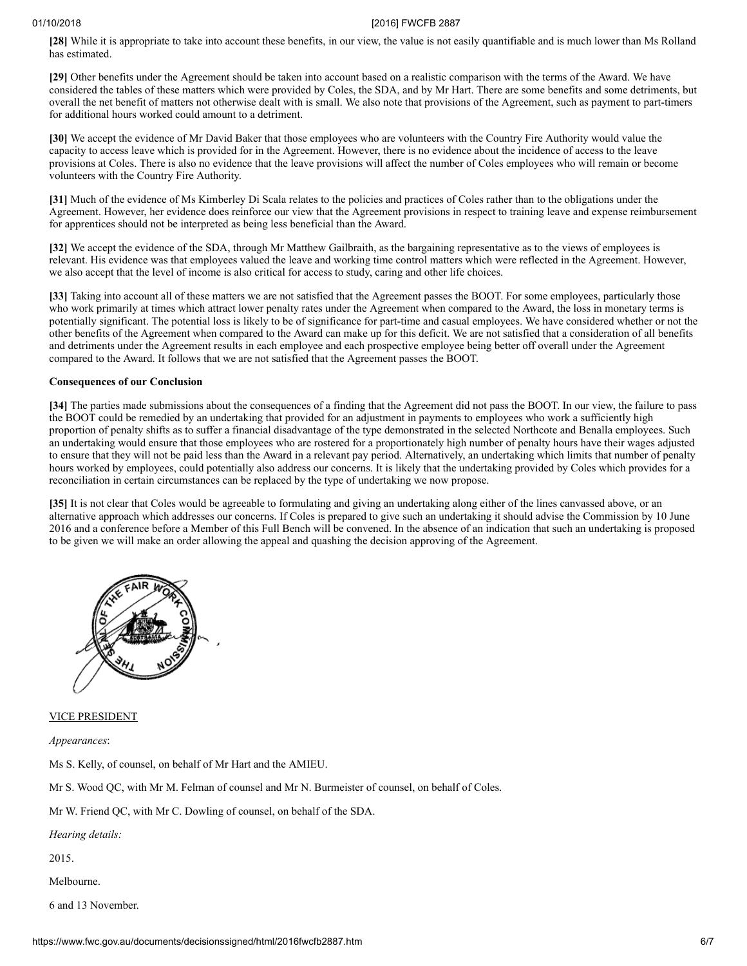**[28]** While it is appropriate to take into account these benefits, in our view, the value is not easily quantifiable and is much lower than Ms Rolland has estimated.

**[29]** Other benefits under the Agreement should be taken into account based on a realistic comparison with the terms of the Award. We have considered the tables of these matters which were provided by Coles, the SDA, and by Mr Hart. There are some benefits and some detriments, but overall the net benefit of matters not otherwise dealt with is small. We also note that provisions of the Agreement, such as payment to part-timers for additional hours worked could amount to a detriment.

**[30]** We accept the evidence of Mr David Baker that those employees who are volunteers with the Country Fire Authority would value the capacity to access leave which is provided for in the Agreement. However, there is no evidence about the incidence of access to the leave provisions at Coles. There is also no evidence that the leave provisions will affect the number of Coles employees who will remain or become volunteers with the Country Fire Authority.

**[31]** Much of the evidence of Ms Kimberley Di Scala relates to the policies and practices of Coles rather than to the obligations under the Agreement. However, her evidence does reinforce our view that the Agreement provisions in respect to training leave and expense reimbursement for apprentices should not be interpreted as being less beneficial than the Award.

**[32]** We accept the evidence of the SDA, through Mr Matthew Gailbraith, as the bargaining representative as to the views of employees is relevant. His evidence was that employees valued the leave and working time control matters which were reflected in the Agreement. However, we also accept that the level of income is also critical for access to study, caring and other life choices.

**[33]** Taking into account all of these matters we are not satisfied that the Agreement passes the BOOT. For some employees, particularly those who work primarily at times which attract lower penalty rates under the Agreement when compared to the Award, the loss in monetary terms is potentially significant. The potential loss is likely to be of significance for part-time and casual employees. We have considered whether or not the other benefits of the Agreement when compared to the Award can make up for this deficit. We are not satisfied that a consideration of all benefits and detriments under the Agreement results in each employee and each prospective employee being better off overall under the Agreement compared to the Award. It follows that we are not satisfied that the Agreement passes the BOOT.

# **Consequences of our Conclusion**

**[34]** The parties made submissions about the consequences of a finding that the Agreement did not pass the BOOT. In our view, the failure to pass the BOOT could be remedied by an undertaking that provided for an adjustment in payments to employees who work a sufficiently high proportion of penalty shifts as to suffer a financial disadvantage of the type demonstrated in the selected Northcote and Benalla employees. Such an undertaking would ensure that those employees who are rostered for a proportionately high number of penalty hours have their wages adjusted to ensure that they will not be paid less than the Award in a relevant pay period. Alternatively, an undertaking which limits that number of penalty hours worked by employees, could potentially also address our concerns. It is likely that the undertaking provided by Coles which provides for a reconciliation in certain circumstances can be replaced by the type of undertaking we now propose.

**[35]** It is not clear that Coles would be agreeable to formulating and giving an undertaking along either of the lines canvassed above, or an alternative approach which addresses our concerns. If Coles is prepared to give such an undertaking it should advise the Commission by 10 June 2016 and a conference before a Member of this Full Bench will be convened. In the absence of an indication that such an undertaking is proposed to be given we will make an order allowing the appeal and quashing the decision approving of the Agreement.



### VICE PRESIDENT

*Appearances*:

Ms S. Kelly, of counsel, on behalf of Mr Hart and the AMIEU.

Mr S. Wood QC, with Mr M. Felman of counsel and Mr N. Burmeister of counsel, on behalf of Coles.

Mr W. Friend QC, with Mr C. Dowling of counsel, on behalf of the SDA.

*Hearing details:*

2015.

- Melbourne.
- 6 and 13 November.